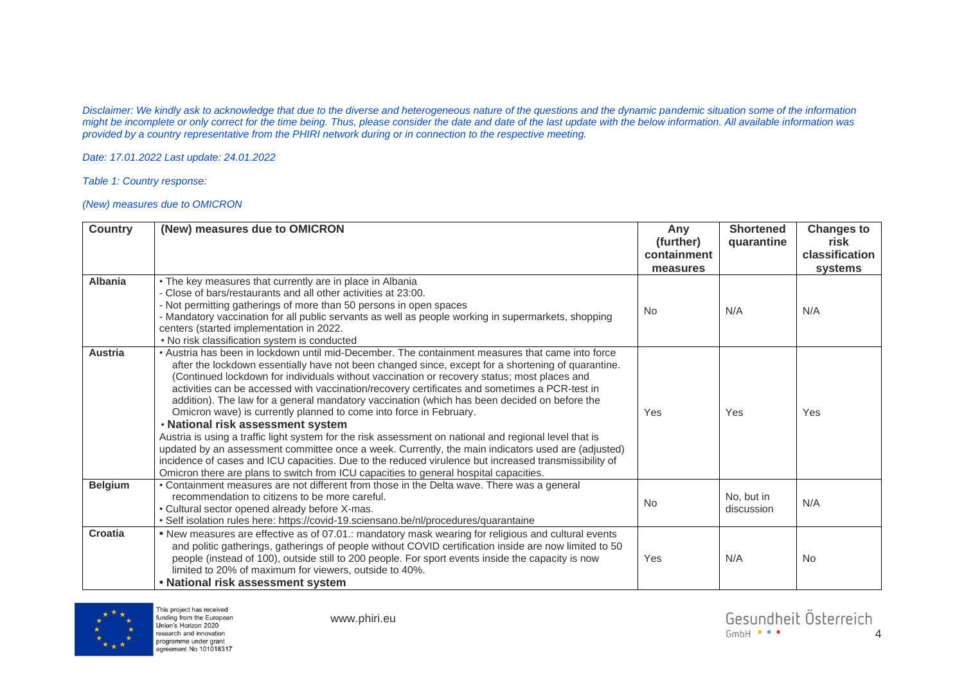*Disclaimer: We kindly ask to acknowledge that due to the diverse and heterogeneous nature of the questions and the dynamic pandemic situation some of the information might be incomplete or only correct for the time being. Thus, please consider the date and date of the last update with the below information. All available information was provided by a country representative from the PHIRI network during or in connection to the respective meeting.* 

*Date: 17.01.2022 Last update: 24.01.2022*

*Table 1: Country response:* 

## *(New) measures due to OMICRON*

| <b>Country</b> | (New) measures due to OMICRON                                                                                                                                                                                                                                                                                                                                                                                                                                                                                                                                                                                                                                                                                                                                                                                                                                                                                                                                                                                                       | Any<br>(further)<br>containment<br>measures | <b>Shortened</b><br>quarantine | <b>Changes to</b><br>risk<br>classification<br>systems |
|----------------|-------------------------------------------------------------------------------------------------------------------------------------------------------------------------------------------------------------------------------------------------------------------------------------------------------------------------------------------------------------------------------------------------------------------------------------------------------------------------------------------------------------------------------------------------------------------------------------------------------------------------------------------------------------------------------------------------------------------------------------------------------------------------------------------------------------------------------------------------------------------------------------------------------------------------------------------------------------------------------------------------------------------------------------|---------------------------------------------|--------------------------------|--------------------------------------------------------|
| Albania        | • The key measures that currently are in place in Albania<br>- Close of bars/restaurants and all other activities at 23:00.<br>- Not permitting gatherings of more than 50 persons in open spaces<br>- Mandatory vaccination for all public servants as well as people working in supermarkets, shopping<br>centers (started implementation in 2022.<br>• No risk classification system is conducted                                                                                                                                                                                                                                                                                                                                                                                                                                                                                                                                                                                                                                | <b>No</b>                                   | N/A                            | N/A                                                    |
| <b>Austria</b> | • Austria has been in lockdown until mid-December. The containment measures that came into force<br>after the lockdown essentially have not been changed since, except for a shortening of quarantine.<br>(Continued lockdown for individuals without vaccination or recovery status; most places and<br>activities can be accessed with vaccination/recovery certificates and sometimes a PCR-test in<br>addition). The law for a general mandatory vaccination (which has been decided on before the<br>Omicron wave) is currently planned to come into force in February.<br>. National risk assessment system<br>Austria is using a traffic light system for the risk assessment on national and regional level that is<br>updated by an assessment committee once a week. Currently, the main indicators used are (adjusted)<br>incidence of cases and ICU capacities. Due to the reduced virulence but increased transmissibility of<br>Omicron there are plans to switch from ICU capacities to general hospital capacities. | <b>Yes</b>                                  | Yes                            | Yes                                                    |
| <b>Belgium</b> | • Containment measures are not different from those in the Delta wave. There was a general<br>recommendation to citizens to be more careful.<br>• Cultural sector opened already before X-mas.<br>• Self isolation rules here: https://covid-19.sciensano.be/nl/procedures/quarantaine                                                                                                                                                                                                                                                                                                                                                                                                                                                                                                                                                                                                                                                                                                                                              | <b>No</b>                                   | No, but in<br>discussion       | N/A                                                    |
| Croatia        | . New measures are effective as of 07.01.: mandatory mask wearing for religious and cultural events<br>and politic gatherings, gatherings of people without COVID certification inside are now limited to 50<br>people (instead of 100), outside still to 200 people. For sport events inside the capacity is now<br>limited to 20% of maximum for viewers, outside to 40%.<br>• National risk assessment system                                                                                                                                                                                                                                                                                                                                                                                                                                                                                                                                                                                                                    | Yes                                         | N/A                            | <b>No</b>                                              |



This project has received funding from the European<br>Union's Horizon 2020 research and innovation programme under grant agreement No 101018317

www.phiri.eu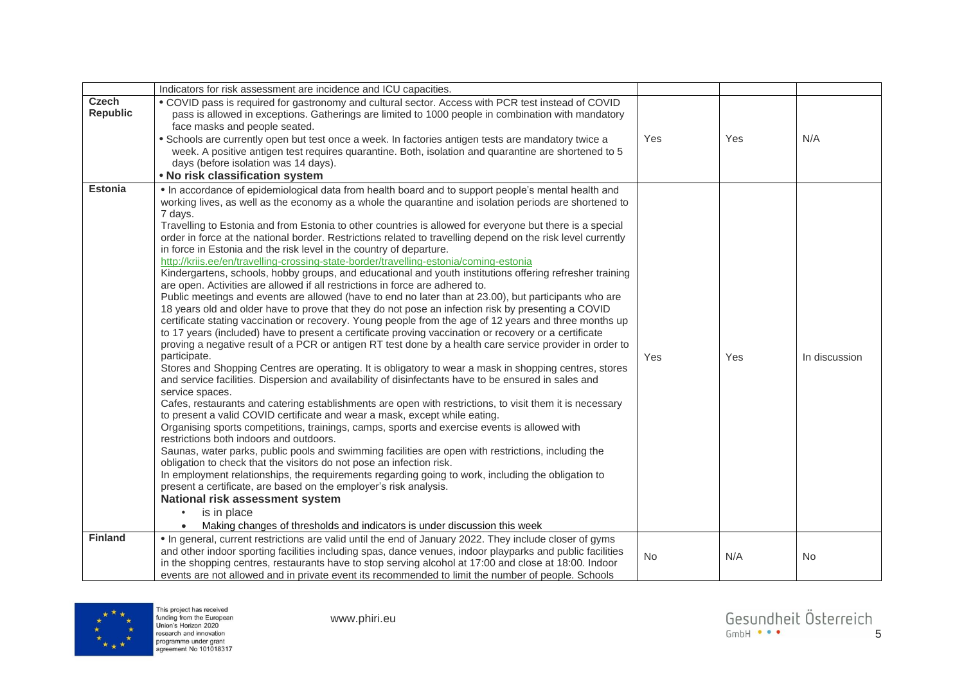|                          | Indicators for risk assessment are incidence and ICU capacities.                                                                                                                                                                                                                                                                                                                                                                                                                                                                                                                                                                                                                                                                                                                                                                                                                                                                                                                                                                                                                                                                                                                                                                                                                                                                                                                                                                                                                                                                                                                                                                                                                                                                                                                                                                                                                                                                                                                                                                                                                                                                                                                                                                                                                                                                                                                                                                                                             |           |     |               |
|--------------------------|------------------------------------------------------------------------------------------------------------------------------------------------------------------------------------------------------------------------------------------------------------------------------------------------------------------------------------------------------------------------------------------------------------------------------------------------------------------------------------------------------------------------------------------------------------------------------------------------------------------------------------------------------------------------------------------------------------------------------------------------------------------------------------------------------------------------------------------------------------------------------------------------------------------------------------------------------------------------------------------------------------------------------------------------------------------------------------------------------------------------------------------------------------------------------------------------------------------------------------------------------------------------------------------------------------------------------------------------------------------------------------------------------------------------------------------------------------------------------------------------------------------------------------------------------------------------------------------------------------------------------------------------------------------------------------------------------------------------------------------------------------------------------------------------------------------------------------------------------------------------------------------------------------------------------------------------------------------------------------------------------------------------------------------------------------------------------------------------------------------------------------------------------------------------------------------------------------------------------------------------------------------------------------------------------------------------------------------------------------------------------------------------------------------------------------------------------------------------------|-----------|-----|---------------|
| Czech<br><b>Republic</b> | . COVID pass is required for gastronomy and cultural sector. Access with PCR test instead of COVID<br>pass is allowed in exceptions. Gatherings are limited to 1000 people in combination with mandatory<br>face masks and people seated.<br>• Schools are currently open but test once a week. In factories antigen tests are mandatory twice a<br>week. A positive antigen test requires quarantine. Both, isolation and quarantine are shortened to 5<br>days (before isolation was 14 days).<br>. No risk classification system                                                                                                                                                                                                                                                                                                                                                                                                                                                                                                                                                                                                                                                                                                                                                                                                                                                                                                                                                                                                                                                                                                                                                                                                                                                                                                                                                                                                                                                                                                                                                                                                                                                                                                                                                                                                                                                                                                                                          | Yes       | Yes | N/A           |
| <b>Estonia</b>           | . In accordance of epidemiological data from health board and to support people's mental health and<br>working lives, as well as the economy as a whole the quarantine and isolation periods are shortened to<br>7 days.<br>Travelling to Estonia and from Estonia to other countries is allowed for everyone but there is a special<br>order in force at the national border. Restrictions related to travelling depend on the risk level currently<br>in force in Estonia and the risk level in the country of departure.<br>http://kriis.ee/en/travelling-crossing-state-border/travelling-estonia/coming-estonia<br>Kindergartens, schools, hobby groups, and educational and youth institutions offering refresher training<br>are open. Activities are allowed if all restrictions in force are adhered to.<br>Public meetings and events are allowed (have to end no later than at 23.00), but participants who are<br>18 years old and older have to prove that they do not pose an infection risk by presenting a COVID<br>certificate stating vaccination or recovery. Young people from the age of 12 years and three months up<br>to 17 years (included) have to present a certificate proving vaccination or recovery or a certificate<br>proving a negative result of a PCR or antigen RT test done by a health care service provider in order to<br>participate.<br>Stores and Shopping Centres are operating. It is obligatory to wear a mask in shopping centres, stores<br>and service facilities. Dispersion and availability of disinfectants have to be ensured in sales and<br>service spaces.<br>Cafes, restaurants and catering establishments are open with restrictions, to visit them it is necessary<br>to present a valid COVID certificate and wear a mask, except while eating.<br>Organising sports competitions, trainings, camps, sports and exercise events is allowed with<br>restrictions both indoors and outdoors.<br>Saunas, water parks, public pools and swimming facilities are open with restrictions, including the<br>obligation to check that the visitors do not pose an infection risk.<br>In employment relationships, the requirements regarding going to work, including the obligation to<br>present a certificate, are based on the employer's risk analysis.<br>National risk assessment system<br>is in place<br>$\bullet$<br>Making changes of thresholds and indicators is under discussion this week<br>$\bullet$ | Yes       | Yes | In discussion |
| <b>Finland</b>           | . In general, current restrictions are valid until the end of January 2022. They include closer of gyms<br>and other indoor sporting facilities including spas, dance venues, indoor playparks and public facilities<br>in the shopping centres, restaurants have to stop serving alcohol at 17:00 and close at 18:00. Indoor<br>events are not allowed and in private event its recommended to limit the number of people. Schools                                                                                                                                                                                                                                                                                                                                                                                                                                                                                                                                                                                                                                                                                                                                                                                                                                                                                                                                                                                                                                                                                                                                                                                                                                                                                                                                                                                                                                                                                                                                                                                                                                                                                                                                                                                                                                                                                                                                                                                                                                          | <b>No</b> | N/A | <b>No</b>     |

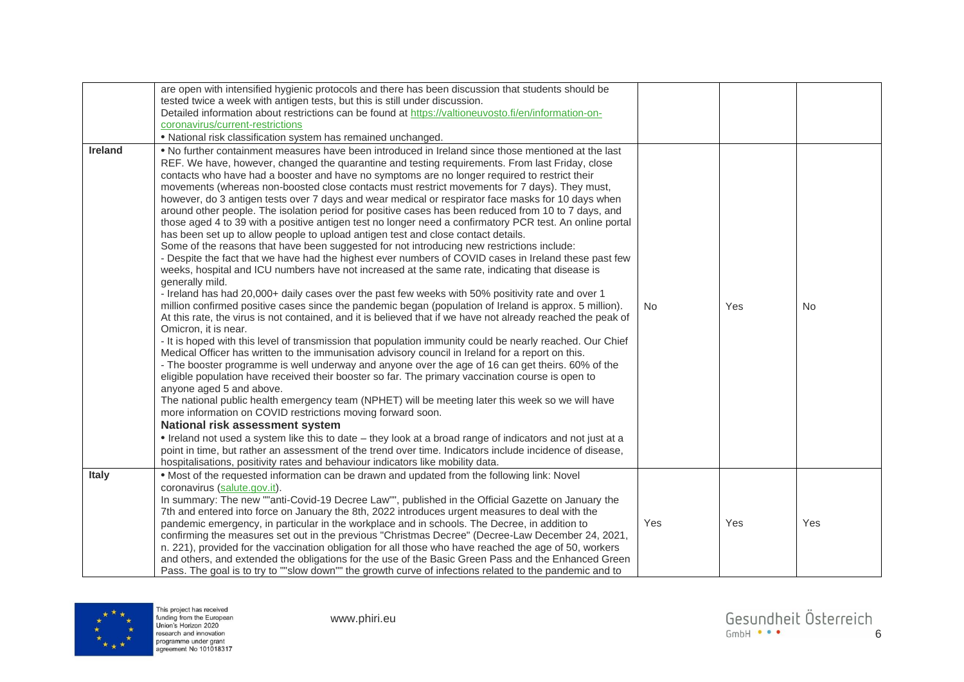|                | are open with intensified hygienic protocols and there has been discussion that students should be<br>tested twice a week with antigen tests, but this is still under discussion.<br>Detailed information about restrictions can be found at https://valtioneuvosto.fi/en/information-on-<br>coronavirus/current-restrictions<br>· National risk classification system has remained unchanged.                                                                                                                                                                                                                                                                                                                                                                                                                                                                                                                                                                                                                                                                                                                                                                                                                                                                                                                                                                                                                                                                                                                                                                                                                                                                                                                                                                                                                                                                                                                                                                                                                                                                                                                                                                                                                                                                                                                                                                                                                                                                                           |           |     |           |
|----------------|------------------------------------------------------------------------------------------------------------------------------------------------------------------------------------------------------------------------------------------------------------------------------------------------------------------------------------------------------------------------------------------------------------------------------------------------------------------------------------------------------------------------------------------------------------------------------------------------------------------------------------------------------------------------------------------------------------------------------------------------------------------------------------------------------------------------------------------------------------------------------------------------------------------------------------------------------------------------------------------------------------------------------------------------------------------------------------------------------------------------------------------------------------------------------------------------------------------------------------------------------------------------------------------------------------------------------------------------------------------------------------------------------------------------------------------------------------------------------------------------------------------------------------------------------------------------------------------------------------------------------------------------------------------------------------------------------------------------------------------------------------------------------------------------------------------------------------------------------------------------------------------------------------------------------------------------------------------------------------------------------------------------------------------------------------------------------------------------------------------------------------------------------------------------------------------------------------------------------------------------------------------------------------------------------------------------------------------------------------------------------------------------------------------------------------------------------------------------------------------|-----------|-----|-----------|
| <b>Ireland</b> | . No further containment measures have been introduced in Ireland since those mentioned at the last<br>REF. We have, however, changed the quarantine and testing requirements. From last Friday, close<br>contacts who have had a booster and have no symptoms are no longer required to restrict their<br>movements (whereas non-boosted close contacts must restrict movements for 7 days). They must,<br>however, do 3 antigen tests over 7 days and wear medical or respirator face masks for 10 days when<br>around other people. The isolation period for positive cases has been reduced from 10 to 7 days, and<br>those aged 4 to 39 with a positive antigen test no longer need a confirmatory PCR test. An online portal<br>has been set up to allow people to upload antigen test and close contact details.<br>Some of the reasons that have been suggested for not introducing new restrictions include:<br>- Despite the fact that we have had the highest ever numbers of COVID cases in Ireland these past few<br>weeks, hospital and ICU numbers have not increased at the same rate, indicating that disease is<br>generally mild.<br>- Ireland has had 20,000+ daily cases over the past few weeks with 50% positivity rate and over 1<br>million confirmed positive cases since the pandemic began (population of Ireland is approx. 5 million).<br>At this rate, the virus is not contained, and it is believed that if we have not already reached the peak of<br>Omicron, it is near.<br>- It is hoped with this level of transmission that population immunity could be nearly reached. Our Chief<br>Medical Officer has written to the immunisation advisory council in Ireland for a report on this.<br>- The booster programme is well underway and anyone over the age of 16 can get theirs. 60% of the<br>eligible population have received their booster so far. The primary vaccination course is open to<br>anyone aged 5 and above.<br>The national public health emergency team (NPHET) will be meeting later this week so we will have<br>more information on COVID restrictions moving forward soon.<br>National risk assessment system<br>. Ireland not used a system like this to date - they look at a broad range of indicators and not just at a<br>point in time, but rather an assessment of the trend over time. Indicators include incidence of disease,<br>hospitalisations, positivity rates and behaviour indicators like mobility data. | <b>No</b> | Yes | <b>No</b> |
| <b>Italy</b>   | . Most of the requested information can be drawn and updated from the following link: Novel<br>coronavirus (salute.gov.it).<br>In summary: The new ""anti-Covid-19 Decree Law"", published in the Official Gazette on January the<br>7th and entered into force on January the 8th, 2022 introduces urgent measures to deal with the<br>pandemic emergency, in particular in the workplace and in schools. The Decree, in addition to<br>confirming the measures set out in the previous "Christmas Decree" (Decree-Law December 24, 2021,<br>n. 221), provided for the vaccination obligation for all those who have reached the age of 50, workers<br>and others, and extended the obligations for the use of the Basic Green Pass and the Enhanced Green<br>Pass. The goal is to try to ""slow down"" the growth curve of infections related to the pandemic and to                                                                                                                                                                                                                                                                                                                                                                                                                                                                                                                                                                                                                                                                                                                                                                                                                                                                                                                                                                                                                                                                                                                                                                                                                                                                                                                                                                                                                                                                                                                                                                                                                   | Yes       | Yes | Yes       |

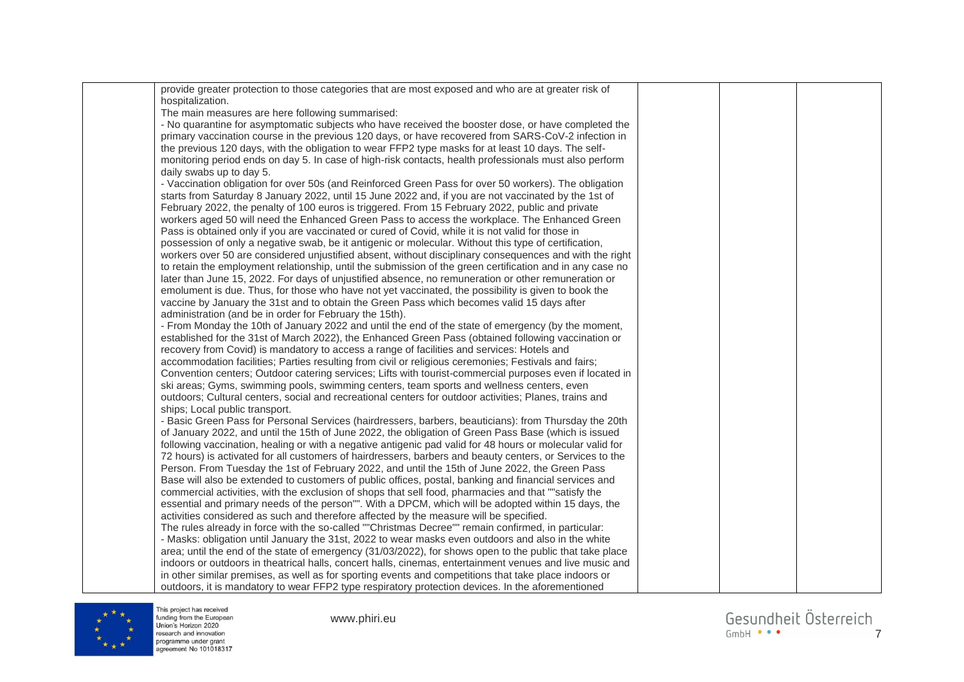| provide greater protection to those categories that are most exposed and who are at greater risk of       |  |  |
|-----------------------------------------------------------------------------------------------------------|--|--|
| hospitalization.                                                                                          |  |  |
| The main measures are here following summarised:                                                          |  |  |
| - No quarantine for asymptomatic subjects who have received the booster dose, or have completed the       |  |  |
| primary vaccination course in the previous 120 days, or have recovered from SARS-CoV-2 infection in       |  |  |
| the previous 120 days, with the obligation to wear FFP2 type masks for at least 10 days. The self-        |  |  |
| monitoring period ends on day 5. In case of high-risk contacts, health professionals must also perform    |  |  |
| daily swabs up to day 5.                                                                                  |  |  |
| - Vaccination obligation for over 50s (and Reinforced Green Pass for over 50 workers). The obligation     |  |  |
| starts from Saturday 8 January 2022, until 15 June 2022 and, if you are not vaccinated by the 1st of      |  |  |
| February 2022, the penalty of 100 euros is triggered. From 15 February 2022, public and private           |  |  |
| workers aged 50 will need the Enhanced Green Pass to access the workplace. The Enhanced Green             |  |  |
| Pass is obtained only if you are vaccinated or cured of Covid, while it is not valid for those in         |  |  |
| possession of only a negative swab, be it antigenic or molecular. Without this type of certification,     |  |  |
| workers over 50 are considered unjustified absent, without disciplinary consequences and with the right   |  |  |
| to retain the employment relationship, until the submission of the green certification and in any case no |  |  |
| later than June 15, 2022. For days of unjustified absence, no remuneration or other remuneration or       |  |  |
| emolument is due. Thus, for those who have not yet vaccinated, the possibility is given to book the       |  |  |
| vaccine by January the 31st and to obtain the Green Pass which becomes valid 15 days after                |  |  |
| administration (and be in order for February the 15th).                                                   |  |  |
| - From Monday the 10th of January 2022 and until the end of the state of emergency (by the moment,        |  |  |
| established for the 31st of March 2022), the Enhanced Green Pass (obtained following vaccination or       |  |  |
| recovery from Covid) is mandatory to access a range of facilities and services: Hotels and                |  |  |
| accommodation facilities; Parties resulting from civil or religious ceremonies; Festivals and fairs;      |  |  |
| Convention centers; Outdoor catering services; Lifts with tourist-commercial purposes even if located in  |  |  |
| ski areas; Gyms, swimming pools, swimming centers, team sports and wellness centers, even                 |  |  |
| outdoors; Cultural centers, social and recreational centers for outdoor activities; Planes, trains and    |  |  |
| ships; Local public transport.                                                                            |  |  |
| - Basic Green Pass for Personal Services (hairdressers, barbers, beauticians): from Thursday the 20th     |  |  |
| of January 2022, and until the 15th of June 2022, the obligation of Green Pass Base (which is issued      |  |  |
| following vaccination, healing or with a negative antigenic pad valid for 48 hours or molecular valid for |  |  |
| 72 hours) is activated for all customers of hairdressers, barbers and beauty centers, or Services to the  |  |  |
| Person. From Tuesday the 1st of February 2022, and until the 15th of June 2022, the Green Pass            |  |  |
| Base will also be extended to customers of public offices, postal, banking and financial services and     |  |  |
| commercial activities, with the exclusion of shops that sell food, pharmacies and that ""satisfy the      |  |  |
| essential and primary needs of the person"". With a DPCM, which will be adopted within 15 days, the       |  |  |
| activities considered as such and therefore affected by the measure will be specified.                    |  |  |
| The rules already in force with the so-called ""Christmas Decree"" remain confirmed, in particular:       |  |  |
| - Masks: obligation until January the 31st, 2022 to wear masks even outdoors and also in the white        |  |  |
| area; until the end of the state of emergency (31/03/2022), for shows open to the public that take place  |  |  |
| indoors or outdoors in theatrical halls, concert halls, cinemas, entertainment venues and live music and  |  |  |
| in other similar premises, as well as for sporting events and competitions that take place indoors or     |  |  |
| outdoors, it is mandatory to wear FFP2 type respiratory protection devices. In the aforementioned         |  |  |



This project has received<br>funding from the European<br>Union's Horizon 2020<br>research and innovation<br>programme under grant<br>agreement No 101018317

www.phiri.eu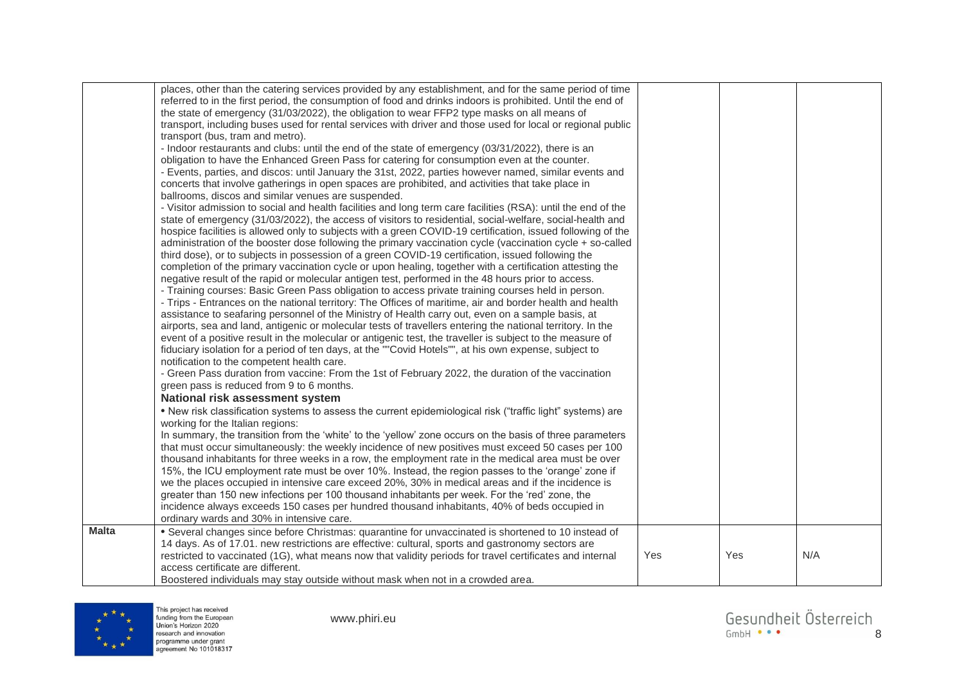|              | places, other than the catering services provided by any establishment, and for the same period of time                                                                                                   |     |     |     |
|--------------|-----------------------------------------------------------------------------------------------------------------------------------------------------------------------------------------------------------|-----|-----|-----|
|              | referred to in the first period, the consumption of food and drinks indoors is prohibited. Until the end of                                                                                               |     |     |     |
|              | the state of emergency (31/03/2022), the obligation to wear FFP2 type masks on all means of                                                                                                               |     |     |     |
|              | transport, including buses used for rental services with driver and those used for local or regional public                                                                                               |     |     |     |
|              | transport (bus, tram and metro).                                                                                                                                                                          |     |     |     |
|              | - Indoor restaurants and clubs: until the end of the state of emergency (03/31/2022), there is an                                                                                                         |     |     |     |
|              | obligation to have the Enhanced Green Pass for catering for consumption even at the counter.                                                                                                              |     |     |     |
|              | - Events, parties, and discos: until January the 31st, 2022, parties however named, similar events and                                                                                                    |     |     |     |
|              | concerts that involve gatherings in open spaces are prohibited, and activities that take place in                                                                                                         |     |     |     |
|              | ballrooms, discos and similar venues are suspended.                                                                                                                                                       |     |     |     |
|              | - Visitor admission to social and health facilities and long term care facilities (RSA): until the end of the                                                                                             |     |     |     |
|              | state of emergency (31/03/2022), the access of visitors to residential, social-welfare, social-health and                                                                                                 |     |     |     |
|              | hospice facilities is allowed only to subjects with a green COVID-19 certification, issued following of the                                                                                               |     |     |     |
|              | administration of the booster dose following the primary vaccination cycle (vaccination cycle + so-called                                                                                                 |     |     |     |
|              | third dose), or to subjects in possession of a green COVID-19 certification, issued following the                                                                                                         |     |     |     |
|              | completion of the primary vaccination cycle or upon healing, together with a certification attesting the                                                                                                  |     |     |     |
|              | negative result of the rapid or molecular antigen test, performed in the 48 hours prior to access.                                                                                                        |     |     |     |
|              | - Training courses: Basic Green Pass obligation to access private training courses held in person.                                                                                                        |     |     |     |
|              | - Trips - Entrances on the national territory: The Offices of maritime, air and border health and health                                                                                                  |     |     |     |
|              | assistance to seafaring personnel of the Ministry of Health carry out, even on a sample basis, at                                                                                                         |     |     |     |
|              | airports, sea and land, antigenic or molecular tests of travellers entering the national territory. In the                                                                                                |     |     |     |
|              | event of a positive result in the molecular or antigenic test, the traveller is subject to the measure of                                                                                                 |     |     |     |
|              | fiduciary isolation for a period of ten days, at the ""Covid Hotels"", at his own expense, subject to                                                                                                     |     |     |     |
|              | notification to the competent health care.                                                                                                                                                                |     |     |     |
|              | - Green Pass duration from vaccine: From the 1st of February 2022, the duration of the vaccination                                                                                                        |     |     |     |
|              | green pass is reduced from 9 to 6 months.                                                                                                                                                                 |     |     |     |
|              | National risk assessment system                                                                                                                                                                           |     |     |     |
|              | . New risk classification systems to assess the current epidemiological risk ("traffic light" systems) are                                                                                                |     |     |     |
|              | working for the Italian regions:                                                                                                                                                                          |     |     |     |
|              | In summary, the transition from the 'white' to the 'yellow' zone occurs on the basis of three parameters                                                                                                  |     |     |     |
|              | that must occur simultaneously: the weekly incidence of new positives must exceed 50 cases per 100<br>thousand inhabitants for three weeks in a row, the employment rate in the medical area must be over |     |     |     |
|              | 15%, the ICU employment rate must be over 10%. Instead, the region passes to the 'orange' zone if                                                                                                         |     |     |     |
|              | we the places occupied in intensive care exceed 20%, 30% in medical areas and if the incidence is                                                                                                         |     |     |     |
|              | greater than 150 new infections per 100 thousand inhabitants per week. For the 'red' zone, the                                                                                                            |     |     |     |
|              | incidence always exceeds 150 cases per hundred thousand inhabitants, 40% of beds occupied in                                                                                                              |     |     |     |
|              | ordinary wards and 30% in intensive care.                                                                                                                                                                 |     |     |     |
| <b>Malta</b> | • Several changes since before Christmas: quarantine for unvaccinated is shortened to 10 instead of                                                                                                       |     |     |     |
|              | 14 days. As of 17.01. new restrictions are effective: cultural, sports and gastronomy sectors are                                                                                                         |     |     |     |
|              | restricted to vaccinated (1G), what means now that validity periods for travel certificates and internal                                                                                                  | Yes | Yes | N/A |
|              | access certificate are different.                                                                                                                                                                         |     |     |     |
|              | Boostered individuals may stay outside without mask when not in a crowded area.                                                                                                                           |     |     |     |



www.phiri.eu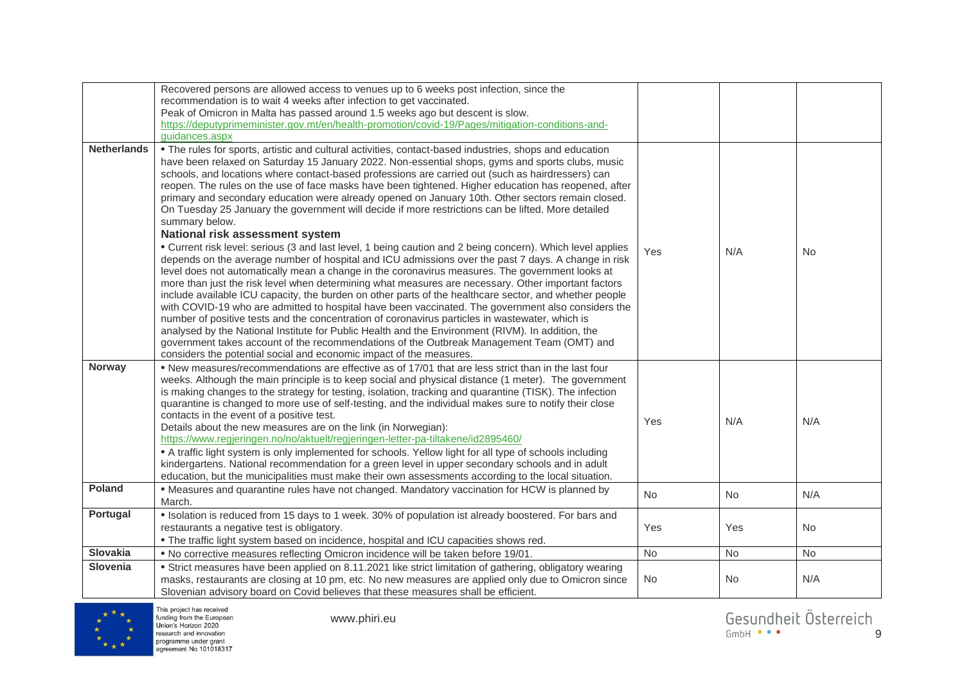|                    | Recovered persons are allowed access to venues up to 6 weeks post infection, since the<br>recommendation is to wait 4 weeks after infection to get vaccinated.<br>Peak of Omicron in Malta has passed around 1.5 weeks ago but descent is slow.<br>https://deputyprimeminister.gov.mt/en/health-promotion/covid-19/Pages/mitigation-conditions-and-<br>guidances.aspx                                                                                                                                                                                                                                                                                                                                                                                                                                                                                                                                                                                                                                                                                                                                                                                                                                                                                                                                                                                                                                                                                                                                                                                                                                                                                                                                               |            |           |           |
|--------------------|---------------------------------------------------------------------------------------------------------------------------------------------------------------------------------------------------------------------------------------------------------------------------------------------------------------------------------------------------------------------------------------------------------------------------------------------------------------------------------------------------------------------------------------------------------------------------------------------------------------------------------------------------------------------------------------------------------------------------------------------------------------------------------------------------------------------------------------------------------------------------------------------------------------------------------------------------------------------------------------------------------------------------------------------------------------------------------------------------------------------------------------------------------------------------------------------------------------------------------------------------------------------------------------------------------------------------------------------------------------------------------------------------------------------------------------------------------------------------------------------------------------------------------------------------------------------------------------------------------------------------------------------------------------------------------------------------------------------|------------|-----------|-----------|
| <b>Netherlands</b> | . The rules for sports, artistic and cultural activities, contact-based industries, shops and education<br>have been relaxed on Saturday 15 January 2022. Non-essential shops, gyms and sports clubs, music<br>schools, and locations where contact-based professions are carried out (such as hairdressers) can<br>reopen. The rules on the use of face masks have been tightened. Higher education has reopened, after<br>primary and secondary education were already opened on January 10th. Other sectors remain closed.<br>On Tuesday 25 January the government will decide if more restrictions can be lifted. More detailed<br>summary below.<br>National risk assessment system<br>• Current risk level: serious (3 and last level, 1 being caution and 2 being concern). Which level applies<br>depends on the average number of hospital and ICU admissions over the past 7 days. A change in risk<br>level does not automatically mean a change in the coronavirus measures. The government looks at<br>more than just the risk level when determining what measures are necessary. Other important factors<br>include available ICU capacity, the burden on other parts of the healthcare sector, and whether people<br>with COVID-19 who are admitted to hospital have been vaccinated. The government also considers the<br>number of positive tests and the concentration of coronavirus particles in wastewater, which is<br>analysed by the National Institute for Public Health and the Environment (RIVM). In addition, the<br>government takes account of the recommendations of the Outbreak Management Team (OMT) and<br>considers the potential social and economic impact of the measures. | <b>Yes</b> | N/A       | <b>No</b> |
| Norway             | . New measures/recommendations are effective as of 17/01 that are less strict than in the last four<br>weeks. Although the main principle is to keep social and physical distance (1 meter). The government<br>is making changes to the strategy for testing, isolation, tracking and quarantine (TISK). The infection<br>quarantine is changed to more use of self-testing, and the individual makes sure to notify their close<br>contacts in the event of a positive test.<br>Details about the new measures are on the link (in Norwegian):<br>https://www.regjeringen.no/no/aktuelt/regjeringen-letter-pa-tiltakene/id2895460/<br>• A traffic light system is only implemented for schools. Yellow light for all type of schools including<br>kindergartens. National recommendation for a green level in upper secondary schools and in adult<br>education, but the municipalities must make their own assessments according to the local situation.                                                                                                                                                                                                                                                                                                                                                                                                                                                                                                                                                                                                                                                                                                                                                          | Yes        | N/A       | N/A       |
| <b>Poland</b>      | • Measures and quarantine rules have not changed. Mandatory vaccination for HCW is planned by<br>March.                                                                                                                                                                                                                                                                                                                                                                                                                                                                                                                                                                                                                                                                                                                                                                                                                                                                                                                                                                                                                                                                                                                                                                                                                                                                                                                                                                                                                                                                                                                                                                                                             | No         | <b>No</b> | N/A       |
| Portugal           | . Isolation is reduced from 15 days to 1 week. 30% of population ist already boostered. For bars and<br>restaurants a negative test is obligatory.<br>. The traffic light system based on incidence, hospital and ICU capacities shows red.                                                                                                                                                                                                                                                                                                                                                                                                                                                                                                                                                                                                                                                                                                                                                                                                                                                                                                                                                                                                                                                                                                                                                                                                                                                                                                                                                                                                                                                                         | Yes        | Yes       | No        |
| <b>Slovakia</b>    | . No corrective measures reflecting Omicron incidence will be taken before 19/01.                                                                                                                                                                                                                                                                                                                                                                                                                                                                                                                                                                                                                                                                                                                                                                                                                                                                                                                                                                                                                                                                                                                                                                                                                                                                                                                                                                                                                                                                                                                                                                                                                                   | No         | No        | No        |
| Slovenia           | • Strict measures have been applied on 8.11.2021 like strict limitation of gathering, obligatory wearing<br>masks, restaurants are closing at 10 pm, etc. No new measures are applied only due to Omicron since<br>Slovenian advisory board on Covid believes that these measures shall be efficient.                                                                                                                                                                                                                                                                                                                                                                                                                                                                                                                                                                                                                                                                                                                                                                                                                                                                                                                                                                                                                                                                                                                                                                                                                                                                                                                                                                                                               | No.        | <b>No</b> | N/A       |

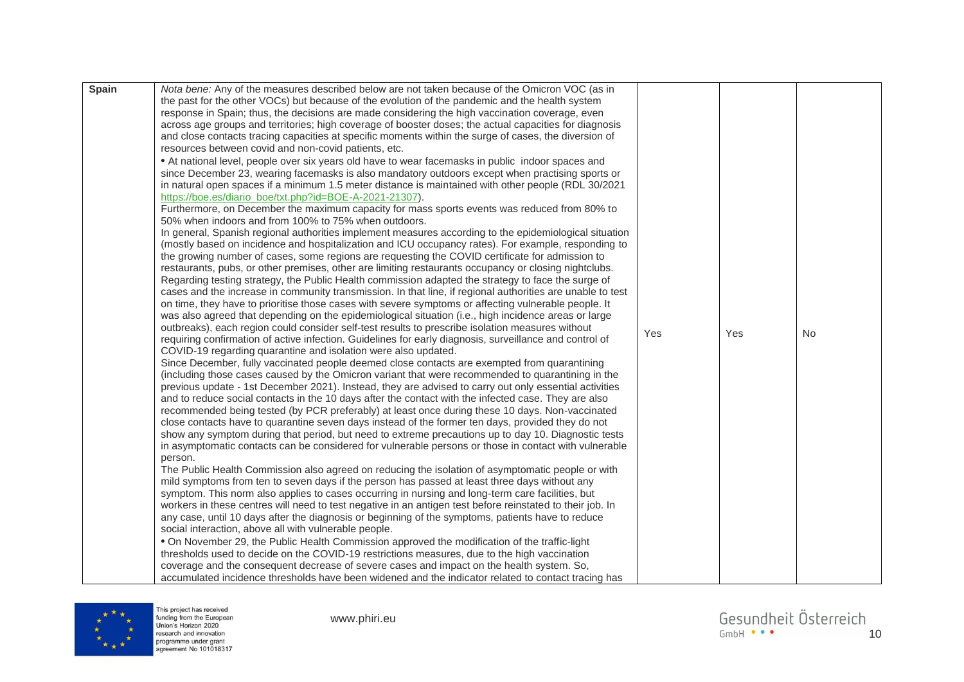| <b>Spain</b> | Nota bene: Any of the measures described below are not taken because of the Omicron VOC (as in                                                                                                   |     |     |    |
|--------------|--------------------------------------------------------------------------------------------------------------------------------------------------------------------------------------------------|-----|-----|----|
|              | the past for the other VOCs) but because of the evolution of the pandemic and the health system                                                                                                  |     |     |    |
|              | response in Spain; thus, the decisions are made considering the high vaccination coverage, even                                                                                                  |     |     |    |
|              | across age groups and territories; high coverage of booster doses; the actual capacities for diagnosis                                                                                           |     |     |    |
|              | and close contacts tracing capacities at specific moments within the surge of cases, the diversion of                                                                                            |     |     |    |
|              | resources between covid and non-covid patients, etc.                                                                                                                                             |     |     |    |
|              | • At national level, people over six years old have to wear facemasks in public indoor spaces and                                                                                                |     |     |    |
|              | since December 23, wearing facemasks is also mandatory outdoors except when practising sports or                                                                                                 |     |     |    |
|              | in natural open spaces if a minimum 1.5 meter distance is maintained with other people (RDL 30/2021                                                                                              |     |     |    |
|              | https://boe.es/diario_boe/txt.php?id=BOE-A-2021-21307).                                                                                                                                          |     |     |    |
|              | Furthermore, on December the maximum capacity for mass sports events was reduced from 80% to                                                                                                     |     |     |    |
|              | 50% when indoors and from 100% to 75% when outdoors.                                                                                                                                             |     |     |    |
|              | In general, Spanish regional authorities implement measures according to the epidemiological situation                                                                                           |     |     |    |
|              | (mostly based on incidence and hospitalization and ICU occupancy rates). For example, responding to                                                                                              |     |     |    |
|              | the growing number of cases, some regions are requesting the COVID certificate for admission to                                                                                                  |     |     |    |
|              | restaurants, pubs, or other premises, other are limiting restaurants occupancy or closing nightclubs.                                                                                            |     |     |    |
|              | Regarding testing strategy, the Public Health commission adapted the strategy to face the surge of                                                                                               |     |     |    |
|              | cases and the increase in community transmission. In that line, if regional authorities are unable to test                                                                                       |     |     |    |
|              | on time, they have to prioritise those cases with severe symptoms or affecting vulnerable people. It                                                                                             |     |     |    |
|              | was also agreed that depending on the epidemiological situation (i.e., high incidence areas or large                                                                                             |     |     |    |
|              | outbreaks), each region could consider self-test results to prescribe isolation measures without                                                                                                 | Yes | Yes | No |
|              | requiring confirmation of active infection. Guidelines for early diagnosis, surveillance and control of                                                                                          |     |     |    |
|              | COVID-19 regarding quarantine and isolation were also updated.                                                                                                                                   |     |     |    |
|              | Since December, fully vaccinated people deemed close contacts are exempted from quarantining                                                                                                     |     |     |    |
|              | (including those cases caused by the Omicron variant that were recommended to quarantining in the                                                                                                |     |     |    |
|              | previous update - 1st December 2021). Instead, they are advised to carry out only essential activities                                                                                           |     |     |    |
|              | and to reduce social contacts in the 10 days after the contact with the infected case. They are also                                                                                             |     |     |    |
|              | recommended being tested (by PCR preferably) at least once during these 10 days. Non-vaccinated                                                                                                  |     |     |    |
|              | close contacts have to quarantine seven days instead of the former ten days, provided they do not                                                                                                |     |     |    |
|              | show any symptom during that period, but need to extreme precautions up to day 10. Diagnostic tests                                                                                              |     |     |    |
|              | in asymptomatic contacts can be considered for vulnerable persons or those in contact with vulnerable                                                                                            |     |     |    |
|              | person.                                                                                                                                                                                          |     |     |    |
|              | The Public Health Commission also agreed on reducing the isolation of asymptomatic people or with                                                                                                |     |     |    |
|              | mild symptoms from ten to seven days if the person has passed at least three days without any                                                                                                    |     |     |    |
|              | symptom. This norm also applies to cases occurring in nursing and long-term care facilities, but                                                                                                 |     |     |    |
|              | workers in these centres will need to test negative in an antigen test before reinstated to their job. In                                                                                        |     |     |    |
|              | any case, until 10 days after the diagnosis or beginning of the symptoms, patients have to reduce<br>social interaction, above all with vulnerable people.                                       |     |     |    |
|              |                                                                                                                                                                                                  |     |     |    |
|              | . On November 29, the Public Health Commission approved the modification of the traffic-light<br>thresholds used to decide on the COVID-19 restrictions measures, due to the high vaccination    |     |     |    |
|              |                                                                                                                                                                                                  |     |     |    |
|              | coverage and the consequent decrease of severe cases and impact on the health system. So,<br>accumulated incidence thresholds have been widened and the indicator related to contact tracing has |     |     |    |
|              |                                                                                                                                                                                                  |     |     |    |